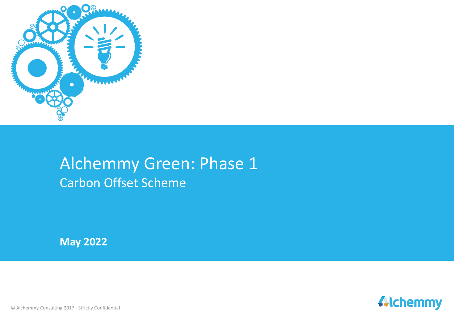

# Alchemmy Green: Phase 1 Carbon Offset Scheme

**May 2022**



© Alchemmy Consulting 2017 - Strictly Confidential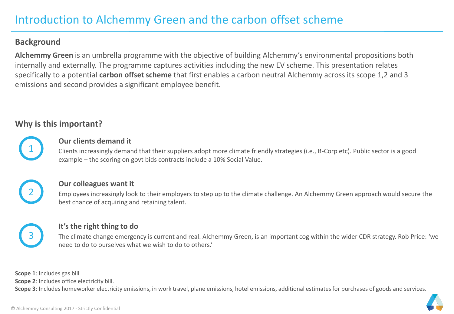### **Background**

**Alchemmy Green** is an umbrella programme with the objective of building Alchemmy's environmental propositions both internally and externally. The programme captures activities including the new EV scheme. This presentation relates specifically to a potential **carbon offset scheme** that first enables a carbon neutral Alchemmy across its scope 1,2 and 3 emissions and second provides a significant employee benefit.

## **Why is this important?**

1

#### **Our clients demand it**

Clients increasingly demand that their suppliers adopt more climate friendly strategies (i.e., B-Corp etc). Public sector is a good example – the scoring on govt bids contracts include a 10% Social Value.



#### **Our colleagues want it**

Employees increasingly look to their employers to step up to the climate challenge. An Alchemmy Green approach would secure the best chance of acquiring and retaining talent.



#### **It's the right thing to do**

The climate change emergency is current and real. Alchemmy Green, is an important cog within the wider CDR strategy. Rob Price: 'we need to do to ourselves what we wish to do to others.'

**Scope 1**: Includes gas bill

**Scope 2**: Includes office electricity bill.

**Scope 3**: Includes homeworker electricity emissions, in work travel, plane emissions, hotel emissions, additional estimates for purchases of goods and services.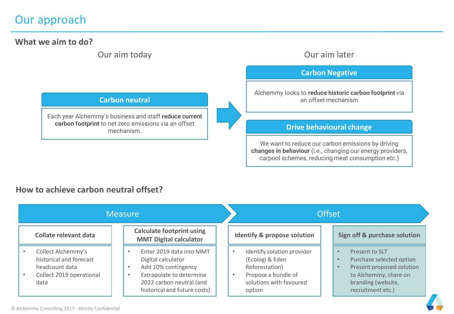# Our approach

**What we aim to do?**

Our aim today Our aim later

**Carbon neutral**

Each year Alchemmy's business and staff **reduce current carbon footprint** to net zero emissions via an offset mechanism.

#### **Carbon Negative**

Alchemmy looks to **reduce historic carbon footprint** via an offset mechanism

#### **Drive behavioural change**

We want to reduce our carbon emissions by driving **changes in behaviour** (i.e., changing our energy providers, carpool schemes, reducing meat consumption etc.)

### **How to achieve carbon neutral offset?**

| <b>Measure</b>                                                                                      |                                                                                                                                                                                         | <b>Offset</b>                                                                                                               |                                                                                                                                             |  |  |
|-----------------------------------------------------------------------------------------------------|-----------------------------------------------------------------------------------------------------------------------------------------------------------------------------------------|-----------------------------------------------------------------------------------------------------------------------------|---------------------------------------------------------------------------------------------------------------------------------------------|--|--|
| Collate relevant data                                                                               | <b>Calculate footprint using</b><br><b>MMT Digital calculator</b>                                                                                                                       | <b>Identify &amp; propose solution</b>                                                                                      | Sign off & purchase solution                                                                                                                |  |  |
| Collect Alchemmy's<br>historical and forecast<br>headcount data<br>Collect 2019 operational<br>data | Enter 2019 data into MMT<br>Digital calculator<br>Add 10% contingency<br>$\bullet$<br>Extrapolate to determine<br>$\bullet$<br>2022 carbon neutral (and<br>historical and future costs) | Identify solution provider<br>(Ecologi & Eden<br>Reforestation)<br>Propose a bundle of<br>solutions with favoured<br>option | Present to SLT<br>Purchase selected option<br>Present proposed solution<br>to Alchemmy, share on<br>branding (website,<br>recruitment etc.) |  |  |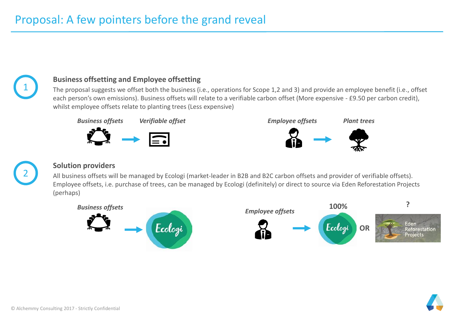

#### **Business offsetting and Employee offsetting**

The proposal suggests we offset both the business (i.e., operations for Scope 1,2 and 3) and provide an employee benefit (i.e., offset each person's own emissions). Business offsets will relate to a verifiable carbon offset (More expensive - £9.50 per carbon credit), whilst employee offsets relate to planting trees (Less expensive)





#### **Solution providers**

All business offsets will be managed by Ecologi (market-leader in B2B and B2C carbon offsets and provider of verifiable offsets). Employee offsets, i.e. purchase of trees, can be managed by Ecologi (definitely) or direct to source via Eden Reforestation Projects (perhaps)



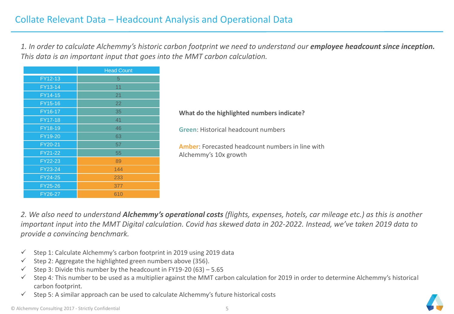*1. In order to calculate Alchemmy's historic carbon footprint we need to understand our employee headcount since inception. This data is an important input that goes into the MMT carbon calculation.* 

|                       | <b>Head Count</b> |  |  |  |
|-----------------------|-------------------|--|--|--|
| FY12-13               | 5                 |  |  |  |
| FY13-14               | 11                |  |  |  |
| FY14-15               | 21                |  |  |  |
| FY15-16               | 22                |  |  |  |
| FY16-17               | 35                |  |  |  |
| FY17-18               | 41                |  |  |  |
| FY18-19               | 46                |  |  |  |
| FY19-20               | 63                |  |  |  |
| FY20-21               | 57                |  |  |  |
| FY21-22               | 55                |  |  |  |
| FY22-23               | 89                |  |  |  |
| FY23-24               | 144               |  |  |  |
| FY24-25               | 233               |  |  |  |
| FY25-26               | 377               |  |  |  |
| $\overline{FY}$ 26-27 | 610               |  |  |  |

#### **What do the highlighted numbers indicate?**

**Green**: Historical headcount numbers

**Amber**: Forecasted headcount numbers in line with Alchemmy's 10x growth

*2. We also need to understand Alchemmy's operational costs (flights, expenses, hotels, car mileage etc.) as this is another important input into the MMT Digital calculation. Covid has skewed data in 202-2022. Instead, we've taken 2019 data to provide a convincing benchmark.* 

- $\checkmark$  Step 1: Calculate Alchemmy's carbon footprint in 2019 using 2019 data
- $\checkmark$  Step 2: Aggregate the highlighted green numbers above (356).
- $\checkmark$  Step 3: Divide this number by the headcount in FY19-20 (63) 5.65
- ✓ Step 4*:* This number to be used as a multiplier against the MMT carbon calculation for 2019 in order to determine Alchemmy's historical carbon footprint.
- $\checkmark$  Step 5: A similar approach can be used to calculate Alchemmy's future historical costs

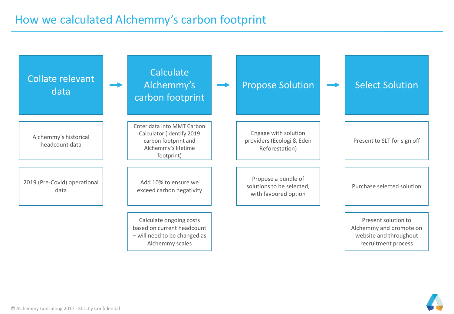| Collate relevant<br>data                | Calculate<br>Alchemmy's<br>carbon footprint                                                                          | <b>Propose Solution</b>                                                  | <b>Select Solution</b>                                                                          |
|-----------------------------------------|----------------------------------------------------------------------------------------------------------------------|--------------------------------------------------------------------------|-------------------------------------------------------------------------------------------------|
| Alchemmy's historical<br>headcount data | Enter data into MMT Carbon<br>Calculator (identify 2019<br>carbon footprint and<br>Alchemmy's lifetime<br>footprint) | Engage with solution<br>providers (Ecologi & Eden<br>Reforestation)      | Present to SLT for sign off                                                                     |
| 2019 (Pre-Covid) operational<br>data    | Add 10% to ensure we<br>exceed carbon negativity                                                                     | Propose a bundle of<br>solutions to be selected,<br>with favoured option | Purchase selected solution                                                                      |
|                                         | Calculate ongoing costs<br>based on current headcount<br>- will need to be changed as<br>Alchemmy scales             |                                                                          | Present solution to<br>Alchemmy and promote on<br>website and throughout<br>recruitment process |

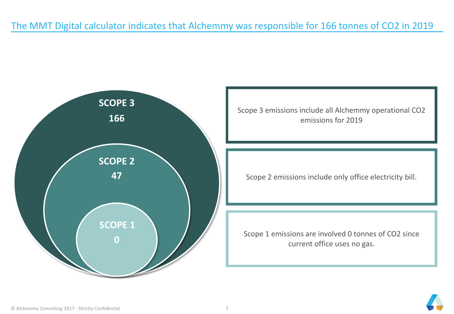# The MMT Digital calculator indicates that Alchemmy was responsible for 166 tonnes of CO2 in 2019



Scope 3 emissions include all Alchemmy operational CO2 emissions for 2019

Scope 2 emissions include only office electricity bill.

Scope 1 emissions are involved 0 tonnes of CO2 since current office uses no gas.